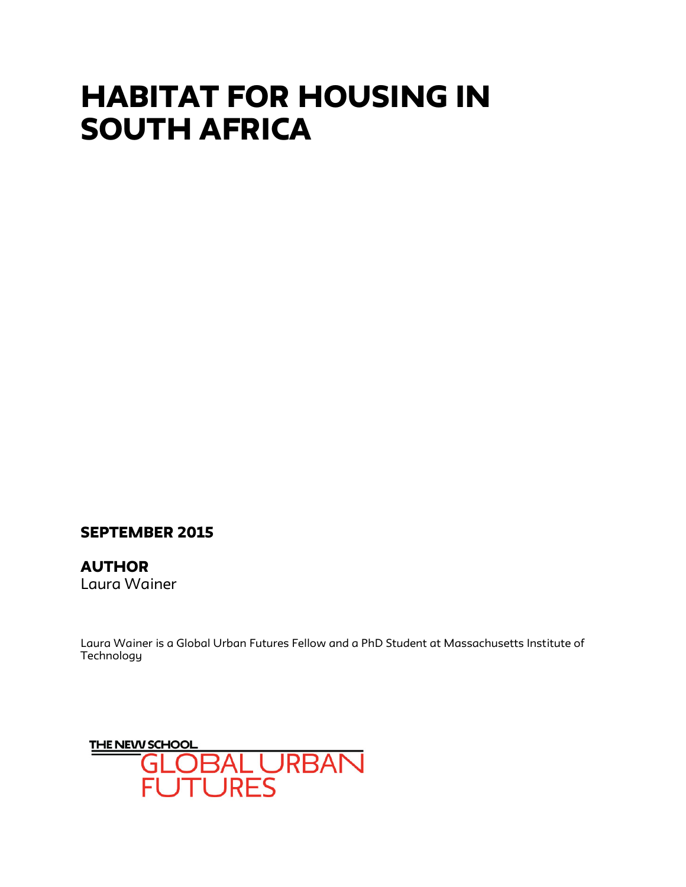# HABITAT FOR HOUSING IN SOUTH AFRICA

# SEPTEMBER 2015

**AUTHOR** Laura Wainer

Laura Wainer is a Global Urban Futures Fellow and a PhD Student at Massachusetts Institute of **Technology** 

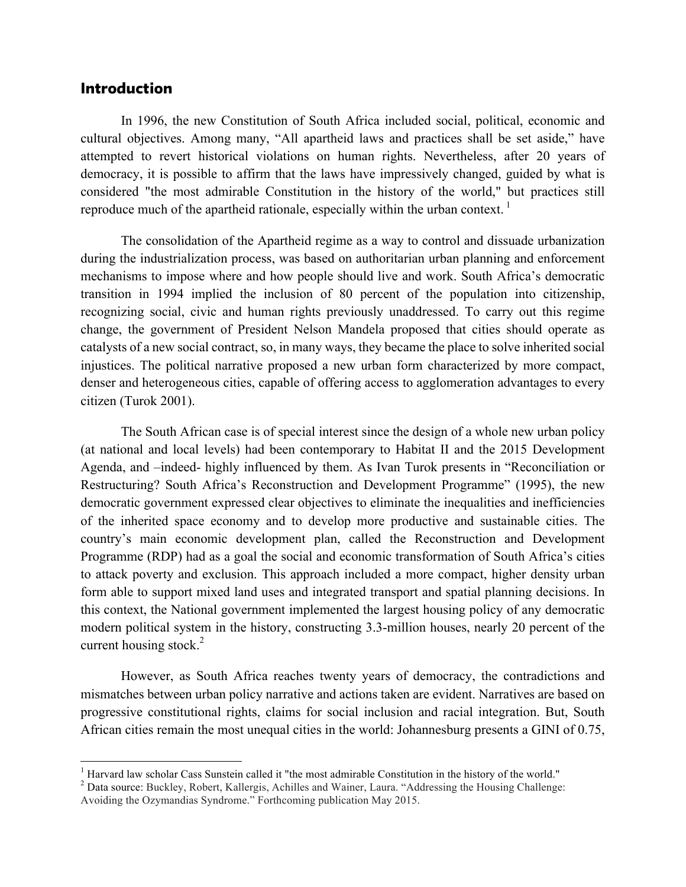#### Introduction

In 1996, the new Constitution of South Africa included social, political, economic and cultural objectives. Among many, "All apartheid laws and practices shall be set aside," have attempted to revert historical violations on human rights. Nevertheless, after 20 years of democracy, it is possible to affirm that the laws have impressively changed, guided by what is considered "the most admirable Constitution in the history of the world," but practices still reproduce much of the apartheid rationale, especially within the urban context.  $\frac{1}{1}$ 

The consolidation of the Apartheid regime as a way to control and dissuade urbanization during the industrialization process, was based on authoritarian urban planning and enforcement mechanisms to impose where and how people should live and work. South Africa's democratic transition in 1994 implied the inclusion of 80 percent of the population into citizenship, recognizing social, civic and human rights previously unaddressed. To carry out this regime change, the government of President Nelson Mandela proposed that cities should operate as catalysts of a new social contract, so, in many ways, they became the place to solve inherited social injustices. The political narrative proposed a new urban form characterized by more compact, denser and heterogeneous cities, capable of offering access to agglomeration advantages to every citizen (Turok 2001).

The South African case is of special interest since the design of a whole new urban policy (at national and local levels) had been contemporary to Habitat II and the 2015 Development Agenda, and –indeed- highly influenced by them. As Ivan Turok presents in "Reconciliation or Restructuring? South Africa's Reconstruction and Development Programme" (1995), the new democratic government expressed clear objectives to eliminate the inequalities and inefficiencies of the inherited space economy and to develop more productive and sustainable cities. The country's main economic development plan, called the Reconstruction and Development Programme (RDP) had as a goal the social and economic transformation of South Africa's cities to attack poverty and exclusion. This approach included a more compact, higher density urban form able to support mixed land uses and integrated transport and spatial planning decisions. In this context, the National government implemented the largest housing policy of any democratic modern political system in the history, constructing 3.3-million houses, nearly 20 percent of the current housing stock. $2$ 

However, as South Africa reaches twenty years of democracy, the contradictions and mismatches between urban policy narrative and actions taken are evident. Narratives are based on progressive constitutional rights, claims for social inclusion and racial integration. But, South African cities remain the most unequal cities in the world: Johannesburg presents a GINI of 0.75,

<sup>&</sup>lt;sup>1</sup> Harvard law scholar Cass Sunstein called it "the most admirable Constitution in the history of the world."

<sup>&</sup>lt;sup>2</sup> Data source: Buckley, Robert, Kallergis, Achilles and Wainer, Laura. "Addressing the Housing Challenge:

Avoiding the Ozymandias Syndrome." Forthcoming publication May 2015.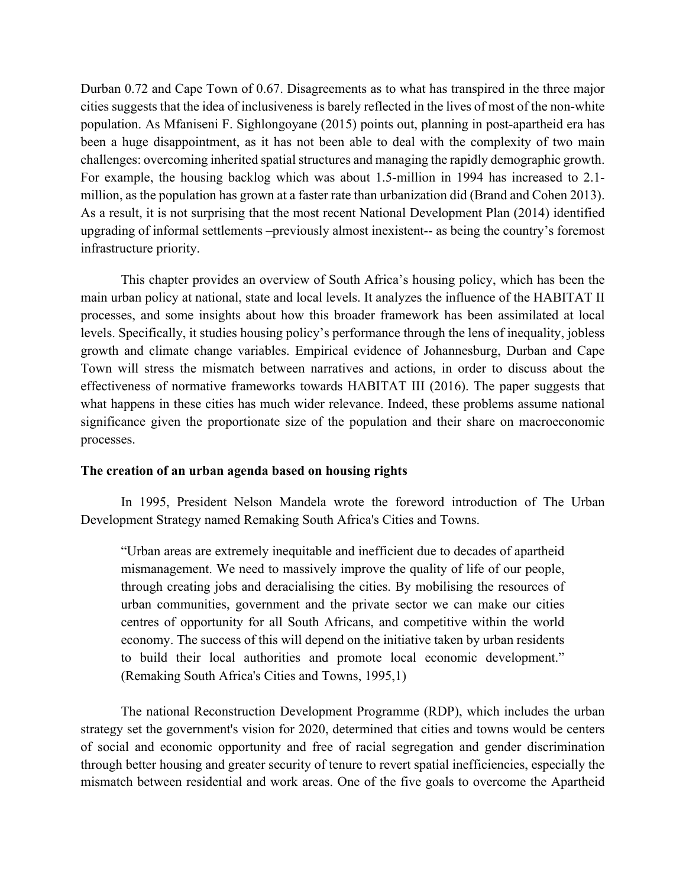Durban 0.72 and Cape Town of 0.67. Disagreements as to what has transpired in the three major cities suggests that the idea of inclusiveness is barely reflected in the lives of most of the non-white population. As Mfaniseni F. Sighlongoyane (2015) points out, planning in post-apartheid era has been a huge disappointment, as it has not been able to deal with the complexity of two main challenges: overcoming inherited spatial structures and managing the rapidly demographic growth. For example, the housing backlog which was about 1.5-million in 1994 has increased to 2.1 million, as the population has grown at a faster rate than urbanization did (Brand and Cohen 2013). As a result, it is not surprising that the most recent National Development Plan (2014) identified upgrading of informal settlements –previously almost inexistent-- as being the country's foremost infrastructure priority.

This chapter provides an overview of South Africa's housing policy, which has been the main urban policy at national, state and local levels. It analyzes the influence of the HABITAT II processes, and some insights about how this broader framework has been assimilated at local levels. Specifically, it studies housing policy's performance through the lens of inequality, jobless growth and climate change variables. Empirical evidence of Johannesburg, Durban and Cape Town will stress the mismatch between narratives and actions, in order to discuss about the effectiveness of normative frameworks towards HABITAT III (2016). The paper suggests that what happens in these cities has much wider relevance. Indeed, these problems assume national significance given the proportionate size of the population and their share on macroeconomic processes.

#### **The creation of an urban agenda based on housing rights**

In 1995, President Nelson Mandela wrote the foreword introduction of The Urban Development Strategy named Remaking South Africa's Cities and Towns.

"Urban areas are extremely inequitable and inefficient due to decades of apartheid mismanagement. We need to massively improve the quality of life of our people, through creating jobs and deracialising the cities. By mobilising the resources of urban communities, government and the private sector we can make our cities centres of opportunity for all South Africans, and competitive within the world economy. The success of this will depend on the initiative taken by urban residents to build their local authorities and promote local economic development." (Remaking South Africa's Cities and Towns, 1995,1)

The national Reconstruction Development Programme (RDP), which includes the urban strategy set the government's vision for 2020, determined that cities and towns would be centers of social and economic opportunity and free of racial segregation and gender discrimination through better housing and greater security of tenure to revert spatial inefficiencies, especially the mismatch between residential and work areas. One of the five goals to overcome the Apartheid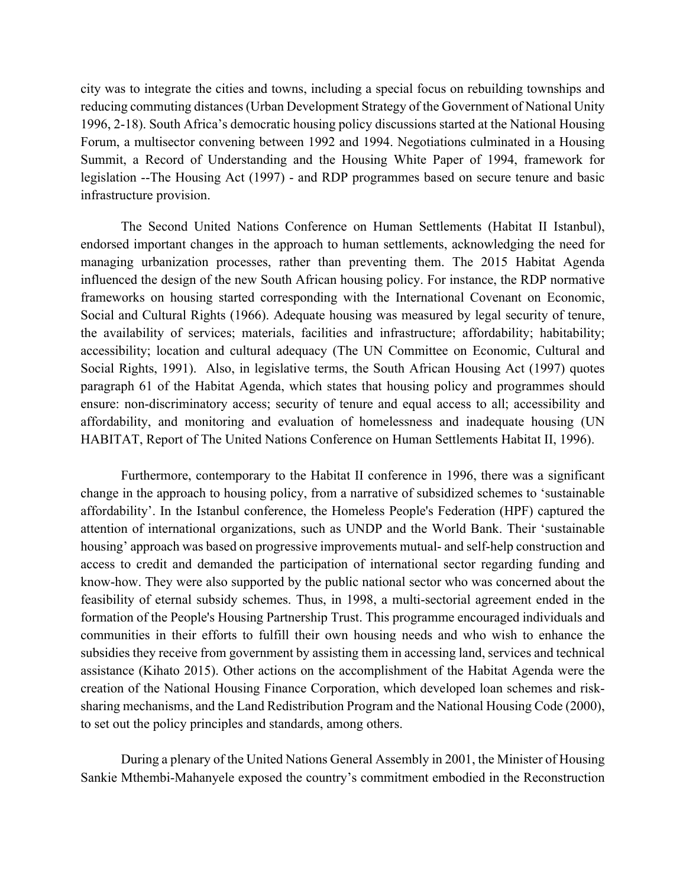city was to integrate the cities and towns, including a special focus on rebuilding townships and reducing commuting distances (Urban Development Strategy of the Government of National Unity 1996, 2-18). South Africa's democratic housing policy discussions started at the National Housing Forum, a multisector convening between 1992 and 1994. Negotiations culminated in a Housing Summit, a Record of Understanding and the Housing White Paper of 1994, framework for legislation --The Housing Act (1997) - and RDP programmes based on secure tenure and basic infrastructure provision.

The Second United Nations Conference on Human Settlements (Habitat II Istanbul), endorsed important changes in the approach to human settlements, acknowledging the need for managing urbanization processes, rather than preventing them. The 2015 Habitat Agenda influenced the design of the new South African housing policy. For instance, the RDP normative frameworks on housing started corresponding with the International Covenant on Economic, Social and Cultural Rights (1966). Adequate housing was measured by legal security of tenure, the availability of services; materials, facilities and infrastructure; affordability; habitability; accessibility; location and cultural adequacy (The UN Committee on Economic, Cultural and Social Rights, 1991). Also, in legislative terms, the South African Housing Act (1997) quotes paragraph 61 of the Habitat Agenda, which states that housing policy and programmes should ensure: non-discriminatory access; security of tenure and equal access to all; accessibility and affordability, and monitoring and evaluation of homelessness and inadequate housing (UN HABITAT, Report of The United Nations Conference on Human Settlements Habitat II, 1996).

Furthermore, contemporary to the Habitat II conference in 1996, there was a significant change in the approach to housing policy, from a narrative of subsidized schemes to 'sustainable affordability'. In the Istanbul conference, the Homeless People's Federation (HPF) captured the attention of international organizations, such as UNDP and the World Bank. Their 'sustainable housing' approach was based on progressive improvements mutual- and self-help construction and access to credit and demanded the participation of international sector regarding funding and know-how. They were also supported by the public national sector who was concerned about the feasibility of eternal subsidy schemes. Thus, in 1998, a multi-sectorial agreement ended in the formation of the People's Housing Partnership Trust. This programme encouraged individuals and communities in their efforts to fulfill their own housing needs and who wish to enhance the subsidies they receive from government by assisting them in accessing land, services and technical assistance (Kihato 2015). Other actions on the accomplishment of the Habitat Agenda were the creation of the National Housing Finance Corporation, which developed loan schemes and risksharing mechanisms, and the Land Redistribution Program and the National Housing Code (2000), to set out the policy principles and standards, among others.

During a plenary of the United Nations General Assembly in 2001, the Minister of Housing Sankie Mthembi-Mahanyele exposed the country's commitment embodied in the Reconstruction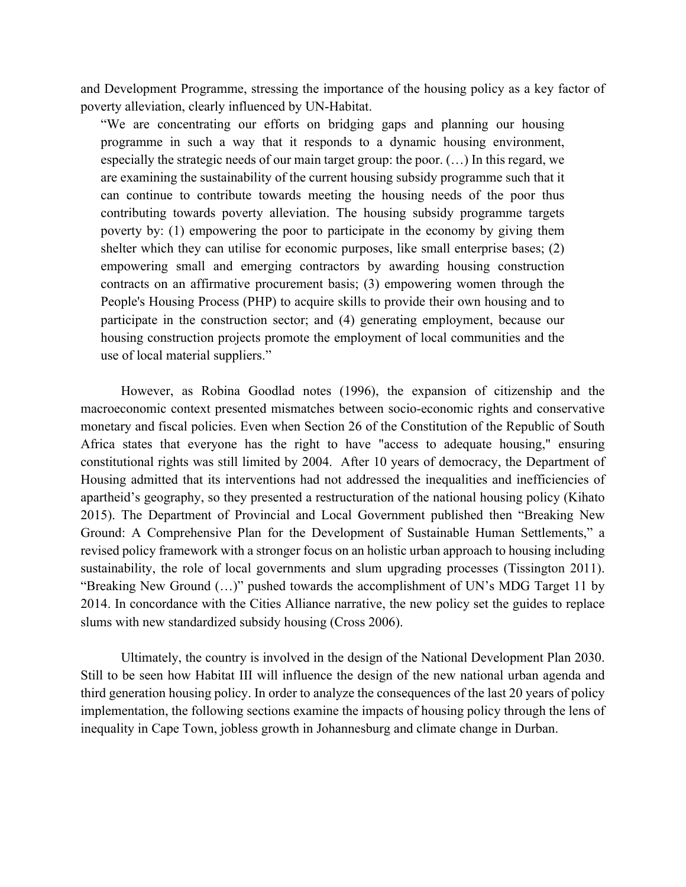and Development Programme, stressing the importance of the housing policy as a key factor of poverty alleviation, clearly influenced by UN-Habitat.

"We are concentrating our efforts on bridging gaps and planning our housing programme in such a way that it responds to a dynamic housing environment, especially the strategic needs of our main target group: the poor. (…) In this regard, we are examining the sustainability of the current housing subsidy programme such that it can continue to contribute towards meeting the housing needs of the poor thus contributing towards poverty alleviation. The housing subsidy programme targets poverty by: (1) empowering the poor to participate in the economy by giving them shelter which they can utilise for economic purposes, like small enterprise bases; (2) empowering small and emerging contractors by awarding housing construction contracts on an affirmative procurement basis; (3) empowering women through the People's Housing Process (PHP) to acquire skills to provide their own housing and to participate in the construction sector; and (4) generating employment, because our housing construction projects promote the employment of local communities and the use of local material suppliers."

However, as Robina Goodlad notes (1996), the expansion of citizenship and the macroeconomic context presented mismatches between socio-economic rights and conservative monetary and fiscal policies. Even when Section 26 of the Constitution of the Republic of South Africa states that everyone has the right to have "access to adequate housing," ensuring constitutional rights was still limited by 2004. After 10 years of democracy, the Department of Housing admitted that its interventions had not addressed the inequalities and inefficiencies of apartheid's geography, so they presented a restructuration of the national housing policy (Kihato 2015). The Department of Provincial and Local Government published then "Breaking New Ground: A Comprehensive Plan for the Development of Sustainable Human Settlements," a revised policy framework with a stronger focus on an holistic urban approach to housing including sustainability, the role of local governments and slum upgrading processes (Tissington 2011). "Breaking New Ground (…)" pushed towards the accomplishment of UN's MDG Target 11 by 2014. In concordance with the Cities Alliance narrative, the new policy set the guides to replace slums with new standardized subsidy housing (Cross 2006).

Ultimately, the country is involved in the design of the National Development Plan 2030. Still to be seen how Habitat III will influence the design of the new national urban agenda and third generation housing policy. In order to analyze the consequences of the last 20 years of policy implementation, the following sections examine the impacts of housing policy through the lens of inequality in Cape Town, jobless growth in Johannesburg and climate change in Durban.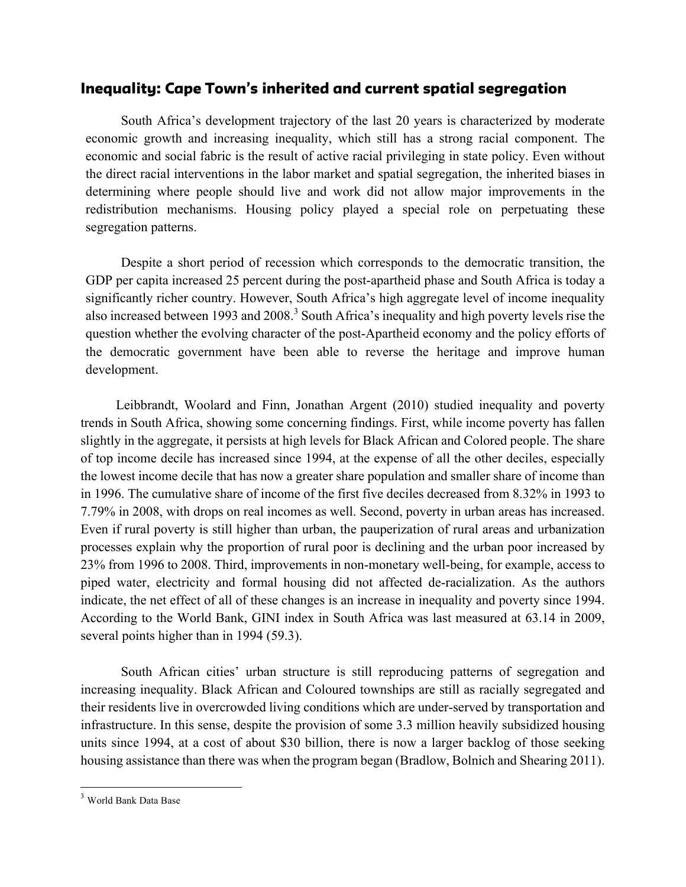## Inequality: Cape Town's inherited and current spatial segregation

South Africa's development trajectory of the last 20 years is characterized by moderate economic growth and increasing inequality, which still has a strong racial component. The economic and social fabric is the result of active racial privileging in state policy. Even without the direct racial interventions in the labor market and spatial segregation, the inherited biases in determining where people should live and work did not allow major improvements in the redistribution mechanisms. Housing policy played a special role on perpetuating these segregation patterns.

Despite a short period of recession which corresponds to the democratic transition, the GDP per capita increased 25 percent during the post-apartheid phase and South Africa is today a significantly richer country. However, South Africa's high aggregate level of income inequality also increased between 1993 and 2008.<sup>3</sup> South Africa's inequality and high poverty levels rise the question whether the evolving character of the post-Apartheid economy and the policy efforts of the democratic government have been able to reverse the heritage and improve human development.

Leibbrandt, Woolard and Finn, Jonathan Argent (2010) studied inequality and poverty trends in South Africa, showing some concerning findings. First, while income poverty has fallen slightly in the aggregate, it persists at high levels for Black African and Colored people. The share of top income decile has increased since 1994, at the expense of all the other deciles, especially the lowest income decile that has now a greater share population and smaller share of income than in 1996. The cumulative share of income of the first five deciles decreased from 8.32% in 1993 to 7.79% in 2008, with drops on real incomes as well. Second, poverty in urban areas has increased. Even if rural poverty is still higher than urban, the pauperization of rural areas and urbanization processes explain why the proportion of rural poor is declining and the urban poor increased by 23% from 1996 to 2008. Third, improvements in non-monetary well-being, for example, access to piped water, electricity and formal housing did not affected de-racialization. As the authors indicate, the net effect of all of these changes is an increase in inequality and poverty since 1994. According to the World Bank, GINI index in South Africa was last measured at 63.14 in 2009, several points higher than in 1994 (59.3).

South African cities' urban structure is still reproducing patterns of segregation and increasing inequality. Black African and Coloured townships are still as racially segregated and their residents live in overcrowded living conditions which are under-served by transportation and infrastructure. In this sense, despite the provision of some 3.3 million heavily subsidized housing units since 1994, at a cost of about \$30 billion, there is now a larger backlog of those seeking housing assistance than there was when the program began (Bradlow, Bolnich and Shearing 2011).

 <sup>3</sup> World Bank Data Base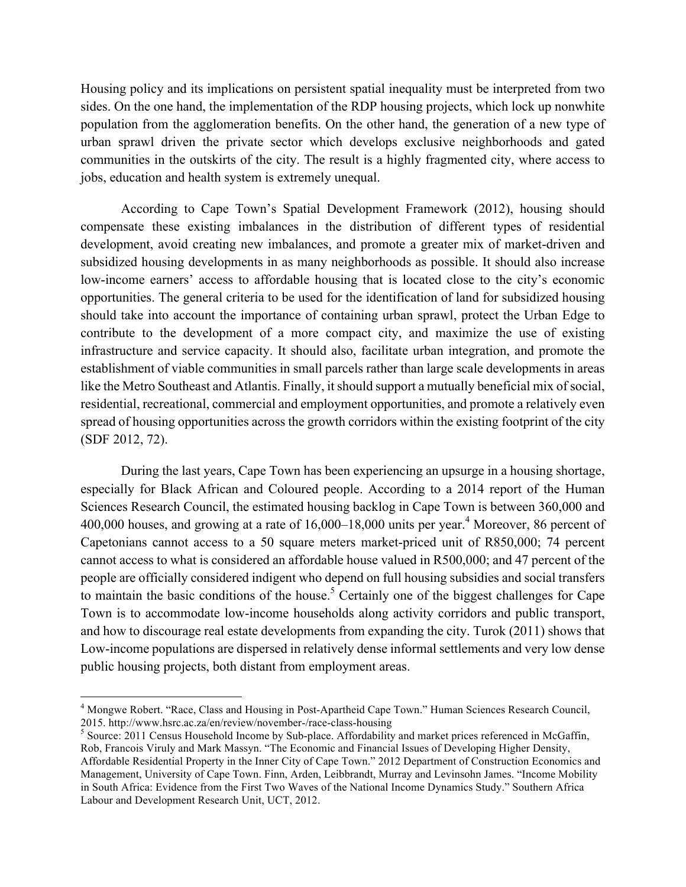Housing policy and its implications on persistent spatial inequality must be interpreted from two sides. On the one hand, the implementation of the RDP housing projects, which lock up nonwhite population from the agglomeration benefits. On the other hand, the generation of a new type of urban sprawl driven the private sector which develops exclusive neighborhoods and gated communities in the outskirts of the city. The result is a highly fragmented city, where access to jobs, education and health system is extremely unequal.

According to Cape Town's Spatial Development Framework (2012), housing should compensate these existing imbalances in the distribution of different types of residential development, avoid creating new imbalances, and promote a greater mix of market-driven and subsidized housing developments in as many neighborhoods as possible. It should also increase low-income earners' access to affordable housing that is located close to the city's economic opportunities. The general criteria to be used for the identification of land for subsidized housing should take into account the importance of containing urban sprawl, protect the Urban Edge to contribute to the development of a more compact city, and maximize the use of existing infrastructure and service capacity. It should also, facilitate urban integration, and promote the establishment of viable communities in small parcels rather than large scale developments in areas like the Metro Southeast and Atlantis. Finally, it should support a mutually beneficial mix of social, residential, recreational, commercial and employment opportunities, and promote a relatively even spread of housing opportunities across the growth corridors within the existing footprint of the city (SDF 2012, 72).

During the last years, Cape Town has been experiencing an upsurge in a housing shortage, especially for Black African and Coloured people. According to a 2014 report of the Human Sciences Research Council, the estimated housing backlog in Cape Town is between 360,000 and 400,000 houses, and growing at a rate of 16,000–18,000 units per year.<sup>4</sup> Moreover, 86 percent of Capetonians cannot access to a 50 square meters market-priced unit of R850,000; 74 percent cannot access to what is considered an affordable house valued in R500,000; and 47 percent of the people are officially considered indigent who depend on full housing subsidies and social transfers to maintain the basic conditions of the house.<sup>5</sup> Certainly one of the biggest challenges for Cape Town is to accommodate low-income households along activity corridors and public transport, and how to discourage real estate developments from expanding the city. Turok (2011) shows that Low-income populations are dispersed in relatively dense informal settlements and very low dense public housing projects, both distant from employment areas.

<sup>&</sup>lt;sup>4</sup> Mongwe Robert. "Race, Class and Housing in Post-Apartheid Cape Town." Human Sciences Research Council, 2015. http://www.hsrc.ac.za/en/review/november-/race-class-housing

<sup>&</sup>lt;sup>5</sup> Source: 2011 Census Household Income by Sub-place. Affordability and market prices referenced in McGaffin, Rob, Francois Viruly and Mark Massyn. "The Economic and Financial Issues of Developing Higher Density, Affordable Residential Property in the Inner City of Cape Town." 2012 Department of Construction Economics and Management, University of Cape Town. Finn, Arden, Leibbrandt, Murray and Levinsohn James. "Income Mobility in South Africa: Evidence from the First Two Waves of the National Income Dynamics Study." Southern Africa Labour and Development Research Unit, UCT, 2012.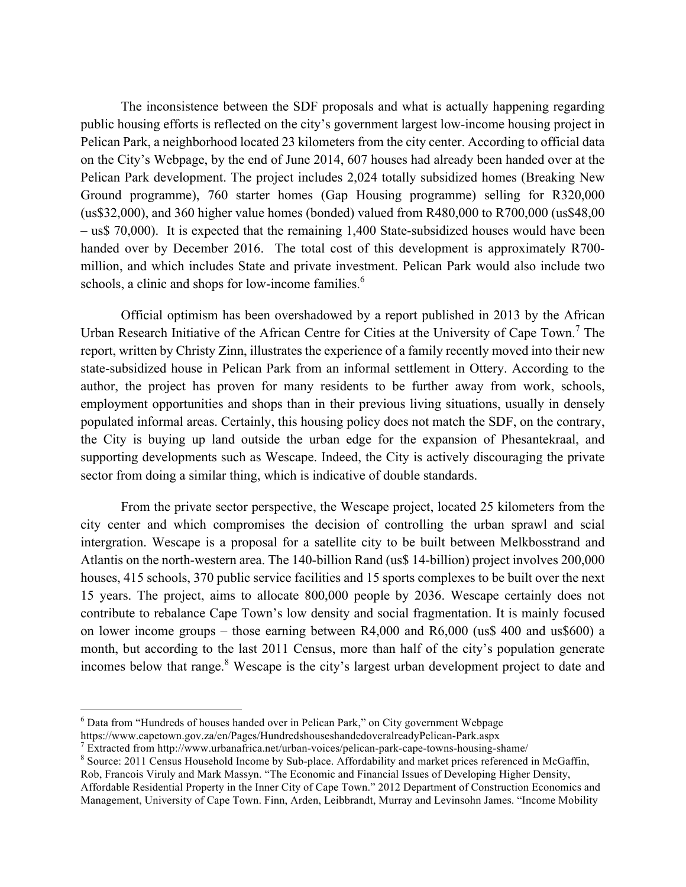The inconsistence between the SDF proposals and what is actually happening regarding public housing efforts is reflected on the city's government largest low-income housing project in Pelican Park, a neighborhood located 23 kilometers from the city center. According to official data on the City's Webpage, by the end of June 2014, 607 houses had already been handed over at the Pelican Park development. The project includes 2,024 totally subsidized homes (Breaking New Ground programme), 760 starter homes (Gap Housing programme) selling for R320,000 (us\$32,000), and 360 higher value homes (bonded) valued from R480,000 to R700,000 (us\$48,00 – us\$ 70,000). It is expected that the remaining 1,400 State-subsidized houses would have been handed over by December 2016. The total cost of this development is approximately R700 million, and which includes State and private investment. Pelican Park would also include two schools, a clinic and shops for low-income families.<sup>6</sup>

Official optimism has been overshadowed by a report published in 2013 by the African Urban Research Initiative of the African Centre for Cities at the University of Cape Town.<sup>7</sup> The report, written by Christy Zinn, illustrates the experience of a family recently moved into their new state-subsidized house in Pelican Park from an informal settlement in Ottery. According to the author, the project has proven for many residents to be further away from work, schools, employment opportunities and shops than in their previous living situations, usually in densely populated informal areas. Certainly, this housing policy does not match the SDF, on the contrary, the City is buying up land outside the urban edge for the expansion of Phesantekraal, and supporting developments such as Wescape. Indeed, the City is actively discouraging the private sector from doing a similar thing, which is indicative of double standards.

From the private sector perspective, the Wescape project, located 25 kilometers from the city center and which compromises the decision of controlling the urban sprawl and scial intergration. Wescape is a proposal for a satellite city to be built between Melkbosstrand and Atlantis on the north-western area. The 140-billion Rand (us\$ 14-billion) project involves 200,000 houses, 415 schools, 370 public service facilities and 15 sports complexes to be built over the next 15 years. The project, aims to allocate 800,000 people by 2036. Wescape certainly does not contribute to rebalance Cape Town's low density and social fragmentation. It is mainly focused on lower income groups – those earning between R4,000 and R6,000 (us\$ 400 and us\$600) a month, but according to the last 2011 Census, more than half of the city's population generate incomes below that range.<sup>8</sup> Wescape is the city's largest urban development project to date and

 <sup>6</sup> Data from "Hundreds of houses handed over in Pelican Park," on City government Webpage

https://www.capetown.gov.za/en/Pages/HundredshouseshandedoveralreadyPelican-Park.aspx<br>
<sup>7</sup> Extracted from http://www.urbanafrica.net/urban-voices/pelican-park-cape-towns-housing-shame/<br>
<sup>8</sup> Source: 2011 Census Household In

Rob, Francois Viruly and Mark Massyn. "The Economic and Financial Issues of Developing Higher Density, Affordable Residential Property in the Inner City of Cape Town." 2012 Department of Construction Economics and Management, University of Cape Town. Finn, Arden, Leibbrandt, Murray and Levinsohn James. "Income Mobility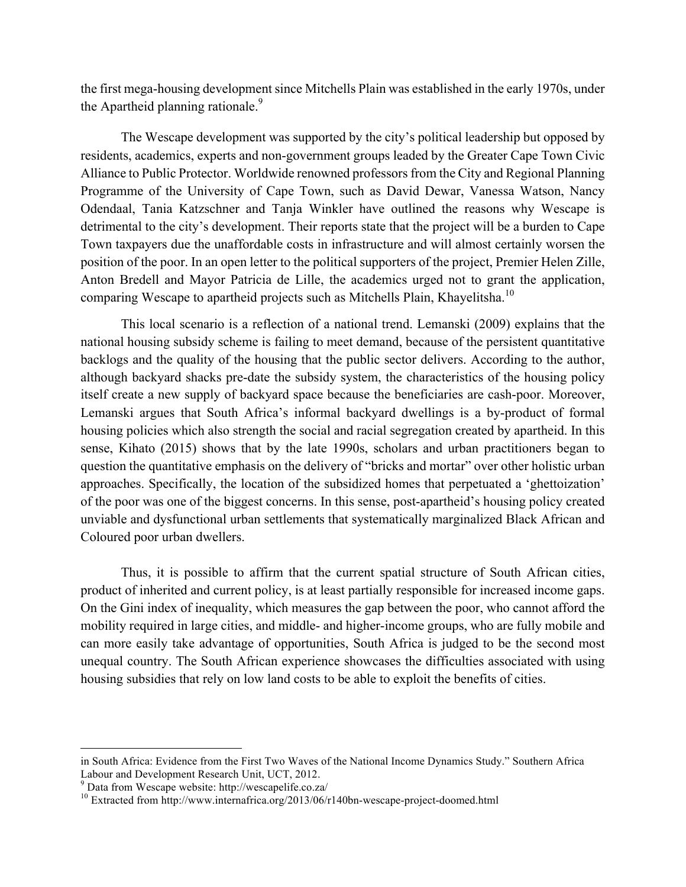the first mega-housing development since Mitchells Plain was established in the early 1970s, under the Apartheid planning rationale.<sup>9</sup>

The Wescape development was supported by the city's political leadership but opposed by residents, academics, experts and non-government groups leaded by the Greater Cape Town Civic Alliance to Public Protector. Worldwide renowned professors from the City and Regional Planning Programme of the University of Cape Town, such as David Dewar, Vanessa Watson, Nancy Odendaal, Tania Katzschner and Tanja Winkler have outlined the reasons why Wescape is detrimental to the city's development. Their reports state that the project will be a burden to Cape Town taxpayers due the unaffordable costs in infrastructure and will almost certainly worsen the position of the poor. In an open letter to the political supporters of the project, Premier Helen Zille, Anton Bredell and Mayor Patricia de Lille, the academics urged not to grant the application, comparing Wescape to apartheid projects such as Mitchells Plain, Khayelitsha.<sup>10</sup>

This local scenario is a reflection of a national trend. Lemanski (2009) explains that the national housing subsidy scheme is failing to meet demand, because of the persistent quantitative backlogs and the quality of the housing that the public sector delivers. According to the author, although backyard shacks pre-date the subsidy system, the characteristics of the housing policy itself create a new supply of backyard space because the beneficiaries are cash-poor. Moreover, Lemanski argues that South Africa's informal backyard dwellings is a by-product of formal housing policies which also strength the social and racial segregation created by apartheid. In this sense, Kihato (2015) shows that by the late 1990s, scholars and urban practitioners began to question the quantitative emphasis on the delivery of "bricks and mortar" over other holistic urban approaches. Specifically, the location of the subsidized homes that perpetuated a 'ghettoization' of the poor was one of the biggest concerns. In this sense, post-apartheid's housing policy created unviable and dysfunctional urban settlements that systematically marginalized Black African and Coloured poor urban dwellers.

Thus, it is possible to affirm that the current spatial structure of South African cities, product of inherited and current policy, is at least partially responsible for increased income gaps. On the Gini index of inequality, which measures the gap between the poor, who cannot afford the mobility required in large cities, and middle- and higher-income groups, who are fully mobile and can more easily take advantage of opportunities, South Africa is judged to be the second most unequal country. The South African experience showcases the difficulties associated with using housing subsidies that rely on low land costs to be able to exploit the benefits of cities.

in South Africa: Evidence from the First Two Waves of the National Income Dynamics Study." Southern Africa Labour and Development Research Unit, UCT, 2012.<br><sup>9</sup> Data from Wescape website: http://wescapelife.co.za/<br><sup>10</sup> Extracted from http://www.internafrica.org/2013/06/r140bn-wescape-project-doomed.html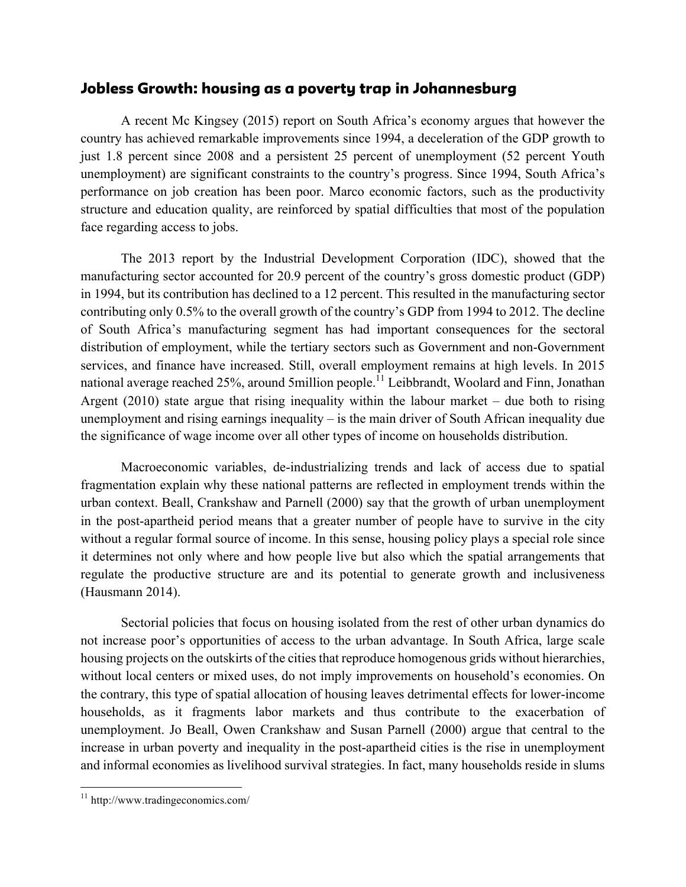### Jobless Growth: housing as a poverty trap in Johannesburg

A recent Mc Kingsey (2015) report on South Africa's economy argues that however the country has achieved remarkable improvements since 1994, a deceleration of the GDP growth to just 1.8 percent since 2008 and a persistent 25 percent of unemployment (52 percent Youth unemployment) are significant constraints to the country's progress. Since 1994, South Africa's performance on job creation has been poor. Marco economic factors, such as the productivity structure and education quality, are reinforced by spatial difficulties that most of the population face regarding access to jobs.

The 2013 report by the Industrial Development Corporation (IDC), showed that the manufacturing sector accounted for 20.9 percent of the country's gross domestic product (GDP) in 1994, but its contribution has declined to a 12 percent. This resulted in the manufacturing sector contributing only 0.5% to the overall growth of the country's GDP from 1994 to 2012. The decline of South Africa's manufacturing segment has had important consequences for the sectoral distribution of employment, while the tertiary sectors such as Government and non-Government services, and finance have increased. Still, overall employment remains at high levels. In 2015 national average reached 25%, around 5million people.<sup>11</sup> Leibbrandt, Woolard and Finn, Jonathan Argent (2010) state argue that rising inequality within the labour market – due both to rising unemployment and rising earnings inequality – is the main driver of South African inequality due the significance of wage income over all other types of income on households distribution.

Macroeconomic variables, de-industrializing trends and lack of access due to spatial fragmentation explain why these national patterns are reflected in employment trends within the urban context. Beall, Crankshaw and Parnell (2000) say that the growth of urban unemployment in the post-apartheid period means that a greater number of people have to survive in the city without a regular formal source of income. In this sense, housing policy plays a special role since it determines not only where and how people live but also which the spatial arrangements that regulate the productive structure are and its potential to generate growth and inclusiveness (Hausmann 2014).

Sectorial policies that focus on housing isolated from the rest of other urban dynamics do not increase poor's opportunities of access to the urban advantage. In South Africa, large scale housing projects on the outskirts of the cities that reproduce homogenous grids without hierarchies, without local centers or mixed uses, do not imply improvements on household's economies. On the contrary, this type of spatial allocation of housing leaves detrimental effects for lower-income households, as it fragments labor markets and thus contribute to the exacerbation of unemployment. Jo Beall, Owen Crankshaw and Susan Parnell (2000) argue that central to the increase in urban poverty and inequality in the post-apartheid cities is the rise in unemployment and informal economies as livelihood survival strategies. In fact, many households reside in slums

 <sup>11</sup> http://www.tradingeconomics.com/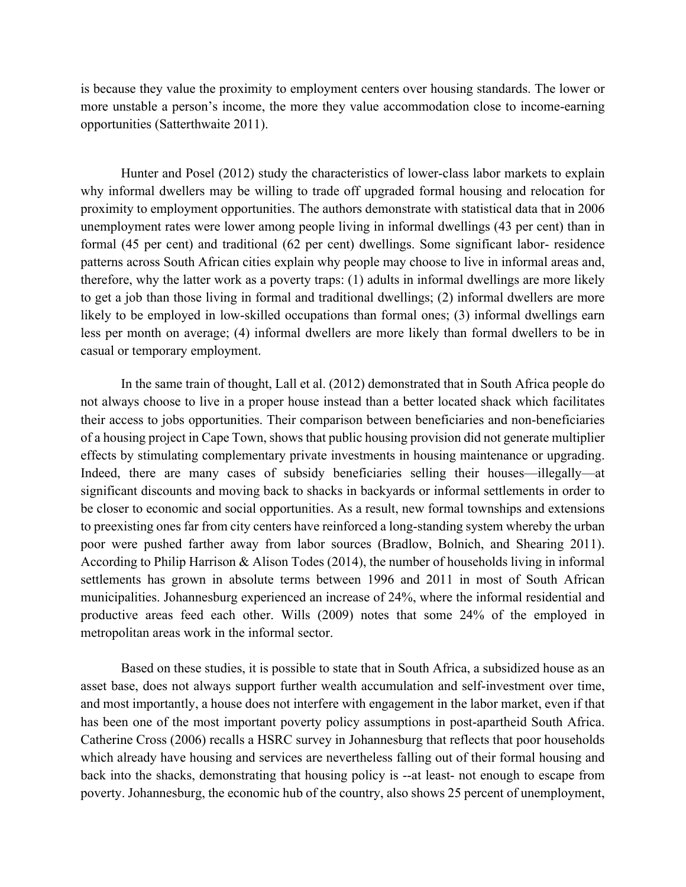is because they value the proximity to employment centers over housing standards. The lower or more unstable a person's income, the more they value accommodation close to income-earning opportunities (Satterthwaite 2011).

Hunter and Posel (2012) study the characteristics of lower-class labor markets to explain why informal dwellers may be willing to trade off upgraded formal housing and relocation for proximity to employment opportunities. The authors demonstrate with statistical data that in 2006 unemployment rates were lower among people living in informal dwellings (43 per cent) than in formal (45 per cent) and traditional (62 per cent) dwellings. Some significant labor- residence patterns across South African cities explain why people may choose to live in informal areas and, therefore, why the latter work as a poverty traps: (1) adults in informal dwellings are more likely to get a job than those living in formal and traditional dwellings; (2) informal dwellers are more likely to be employed in low-skilled occupations than formal ones; (3) informal dwellings earn less per month on average; (4) informal dwellers are more likely than formal dwellers to be in casual or temporary employment.

In the same train of thought, Lall et al. (2012) demonstrated that in South Africa people do not always choose to live in a proper house instead than a better located shack which facilitates their access to jobs opportunities. Their comparison between beneficiaries and non-beneficiaries of a housing project in Cape Town, shows that public housing provision did not generate multiplier effects by stimulating complementary private investments in housing maintenance or upgrading. Indeed, there are many cases of subsidy beneficiaries selling their houses—illegally—at significant discounts and moving back to shacks in backyards or informal settlements in order to be closer to economic and social opportunities. As a result, new formal townships and extensions to preexisting ones far from city centers have reinforced a long-standing system whereby the urban poor were pushed farther away from labor sources (Bradlow, Bolnich, and Shearing 2011). According to Philip Harrison & Alison Todes (2014), the number of households living in informal settlements has grown in absolute terms between 1996 and 2011 in most of South African municipalities. Johannesburg experienced an increase of 24%, where the informal residential and productive areas feed each other. Wills (2009) notes that some 24% of the employed in metropolitan areas work in the informal sector.

Based on these studies, it is possible to state that in South Africa, a subsidized house as an asset base, does not always support further wealth accumulation and self-investment over time, and most importantly, a house does not interfere with engagement in the labor market, even if that has been one of the most important poverty policy assumptions in post-apartheid South Africa. Catherine Cross (2006) recalls a HSRC survey in Johannesburg that reflects that poor households which already have housing and services are nevertheless falling out of their formal housing and back into the shacks, demonstrating that housing policy is --at least- not enough to escape from poverty. Johannesburg, the economic hub of the country, also shows 25 percent of unemployment,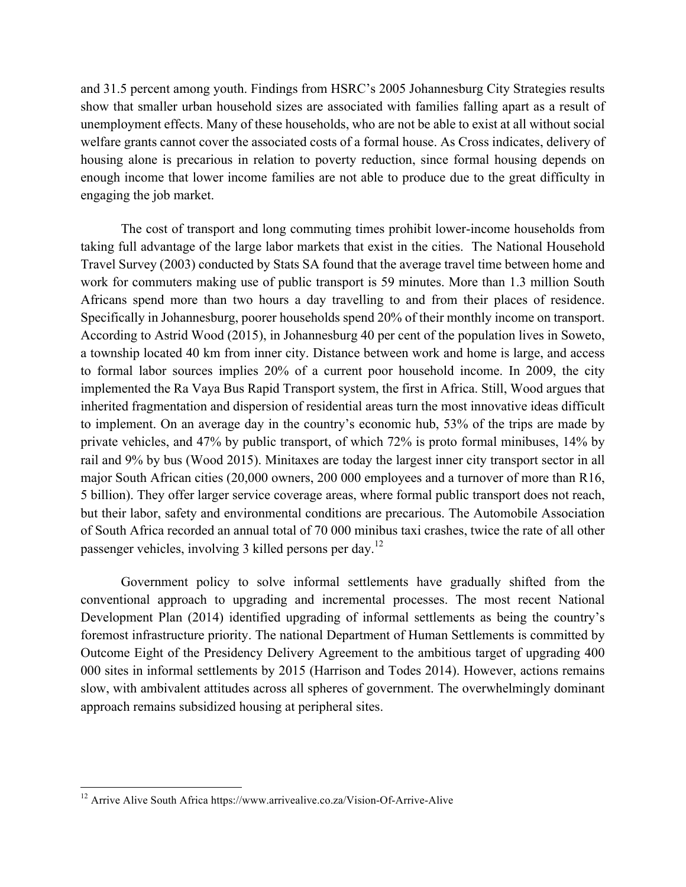and 31.5 percent among youth. Findings from HSRC's 2005 Johannesburg City Strategies results show that smaller urban household sizes are associated with families falling apart as a result of unemployment effects. Many of these households, who are not be able to exist at all without social welfare grants cannot cover the associated costs of a formal house. As Cross indicates, delivery of housing alone is precarious in relation to poverty reduction, since formal housing depends on enough income that lower income families are not able to produce due to the great difficulty in engaging the job market.

The cost of transport and long commuting times prohibit lower-income households from taking full advantage of the large labor markets that exist in the cities. The National Household Travel Survey (2003) conducted by Stats SA found that the average travel time between home and work for commuters making use of public transport is 59 minutes. More than 1.3 million South Africans spend more than two hours a day travelling to and from their places of residence. Specifically in Johannesburg, poorer households spend 20% of their monthly income on transport. According to Astrid Wood (2015), in Johannesburg 40 per cent of the population lives in Soweto, a township located 40 km from inner city. Distance between work and home is large, and access to formal labor sources implies 20% of a current poor household income. In 2009, the city implemented the Ra Vaya Bus Rapid Transport system, the first in Africa. Still, Wood argues that inherited fragmentation and dispersion of residential areas turn the most innovative ideas difficult to implement. On an average day in the country's economic hub, 53% of the trips are made by private vehicles, and 47% by public transport, of which 72% is proto formal minibuses, 14% by rail and 9% by bus (Wood 2015). Minitaxes are today the largest inner city transport sector in all major South African cities (20,000 owners, 200 000 employees and a turnover of more than R16, 5 billion). They offer larger service coverage areas, where formal public transport does not reach, but their labor, safety and environmental conditions are precarious. The Automobile Association of South Africa recorded an annual total of 70 000 minibus taxi crashes, twice the rate of all other passenger vehicles, involving 3 killed persons per day.<sup>12</sup>

Government policy to solve informal settlements have gradually shifted from the conventional approach to upgrading and incremental processes. The most recent National Development Plan (2014) identified upgrading of informal settlements as being the country's foremost infrastructure priority. The national Department of Human Settlements is committed by Outcome Eight of the Presidency Delivery Agreement to the ambitious target of upgrading 400 000 sites in informal settlements by 2015 (Harrison and Todes 2014). However, actions remains slow, with ambivalent attitudes across all spheres of government. The overwhelmingly dominant approach remains subsidized housing at peripheral sites.

<sup>&</sup>lt;sup>12</sup> Arrive Alive South Africa https://www.arrivealive.co.za/Vision-Of-Arrive-Alive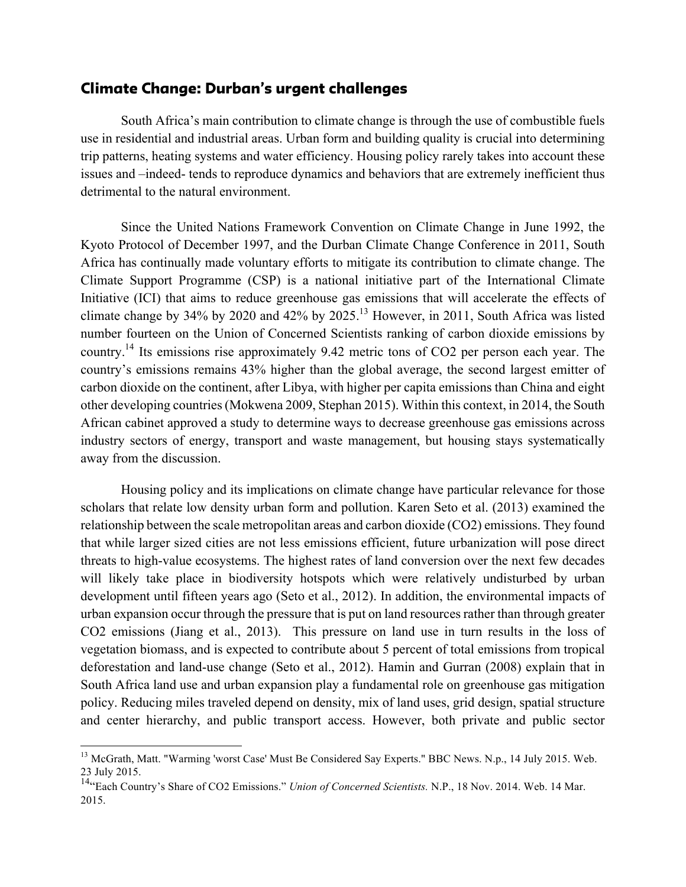### Climate Change: Durban's urgent challenges

South Africa's main contribution to climate change is through the use of combustible fuels use in residential and industrial areas. Urban form and building quality is crucial into determining trip patterns, heating systems and water efficiency. Housing policy rarely takes into account these issues and –indeed- tends to reproduce dynamics and behaviors that are extremely inefficient thus detrimental to the natural environment.

Since the United Nations Framework Convention on Climate Change in June 1992, the Kyoto Protocol of December 1997, and the Durban Climate Change Conference in 2011, South Africa has continually made voluntary efforts to mitigate its contribution to climate change. The Climate Support Programme (CSP) is a national initiative part of the International Climate Initiative (ICI) that aims to reduce greenhouse gas emissions that will accelerate the effects of climate change by 34% by 2020 and 42% by 2025.13 However, in 2011, South Africa was listed number fourteen on the Union of Concerned Scientists ranking of carbon dioxide emissions by country.<sup>14</sup> Its emissions rise approximately 9.42 metric tons of CO2 per person each year. The country's emissions remains 43% higher than the global average, the second largest emitter of carbon dioxide on the continent, after Libya, with higher per capita emissions than China and eight other developing countries (Mokwena 2009, Stephan 2015). Within this context, in 2014, the South African cabinet approved a study to determine ways to decrease greenhouse gas emissions across industry sectors of energy, transport and waste management, but housing stays systematically away from the discussion.

Housing policy and its implications on climate change have particular relevance for those scholars that relate low density urban form and pollution. Karen Seto et al. (2013) examined the relationship between the scale metropolitan areas and carbon dioxide (CO2) emissions. They found that while larger sized cities are not less emissions efficient, future urbanization will pose direct threats to high-value ecosystems. The highest rates of land conversion over the next few decades will likely take place in biodiversity hotspots which were relatively undisturbed by urban development until fifteen years ago (Seto et al., 2012). In addition, the environmental impacts of urban expansion occur through the pressure that is put on land resources rather than through greater CO2 emissions (Jiang et al., 2013). This pressure on land use in turn results in the loss of vegetation biomass, and is expected to contribute about 5 percent of total emissions from tropical deforestation and land-use change (Seto et al., 2012). Hamin and Gurran (2008) explain that in South Africa land use and urban expansion play a fundamental role on greenhouse gas mitigation policy. Reducing miles traveled depend on density, mix of land uses, grid design, spatial structure and center hierarchy, and public transport access. However, both private and public sector

<sup>&</sup>lt;sup>13</sup> McGrath, Matt. "Warming 'worst Case' Must Be Considered Say Experts." BBC News. N.p., 14 July 2015. Web. 23 July 2015.

<sup>14&</sup>quot;Each Country's Share of CO2 Emissions." *Union of Concerned Scientists.* N.P., 18 Nov. 2014. Web. 14 Mar. 2015.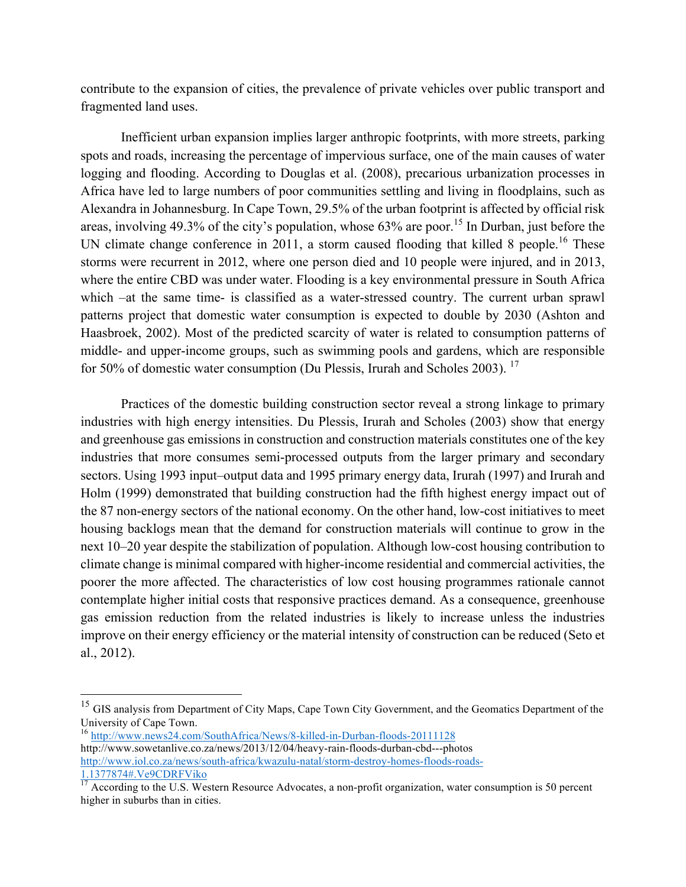contribute to the expansion of cities, the prevalence of private vehicles over public transport and fragmented land uses.

Inefficient urban expansion implies larger anthropic footprints, with more streets, parking spots and roads, increasing the percentage of impervious surface, one of the main causes of water logging and flooding. According to Douglas et al. (2008), precarious urbanization processes in Africa have led to large numbers of poor communities settling and living in floodplains, such as Alexandra in Johannesburg. In Cape Town, 29.5% of the urban footprint is affected by official risk areas, involving 49.3% of the city's population, whose  $63\%$  are poor.<sup>15</sup> In Durban, just before the UN climate change conference in 2011, a storm caused flooding that killed 8 people.<sup>16</sup> These storms were recurrent in 2012, where one person died and 10 people were injured, and in 2013, where the entire CBD was under water. Flooding is a key environmental pressure in South Africa which –at the same time- is classified as a water-stressed country. The current urban sprawl patterns project that domestic water consumption is expected to double by 2030 (Ashton and Haasbroek, 2002). Most of the predicted scarcity of water is related to consumption patterns of middle- and upper-income groups, such as swimming pools and gardens, which are responsible for 50% of domestic water consumption (Du Plessis, Irurah and Scholes 2003).<sup>17</sup>

Practices of the domestic building construction sector reveal a strong linkage to primary industries with high energy intensities. Du Plessis, Irurah and Scholes (2003) show that energy and greenhouse gas emissions in construction and construction materials constitutes one of the key industries that more consumes semi-processed outputs from the larger primary and secondary sectors. Using 1993 input–output data and 1995 primary energy data, Irurah (1997) and Irurah and Holm (1999) demonstrated that building construction had the fifth highest energy impact out of the 87 non-energy sectors of the national economy. On the other hand, low-cost initiatives to meet housing backlogs mean that the demand for construction materials will continue to grow in the next 10–20 year despite the stabilization of population. Although low-cost housing contribution to climate change is minimal compared with higher-income residential and commercial activities, the poorer the more affected. The characteristics of low cost housing programmes rationale cannot contemplate higher initial costs that responsive practices demand. As a consequence, greenhouse gas emission reduction from the related industries is likely to increase unless the industries improve on their energy efficiency or the material intensity of construction can be reduced (Seto et al., 2012).

<sup>&</sup>lt;sup>15</sup> GIS analysis from Department of City Maps, Cape Town City Government, and the Geomatics Department of the University of Cape Town.

<sup>16</sup> http://www.news24.com/SouthAfrica/News/8-killed-in-Durban-floods-20111128 http://www.sowetanlive.co.za/news/2013/12/04/heavy-rain-floods-durban-cbd---photos http://www.iol.co.za/news/south-africa/kwazulu-natal/storm-destroy-homes-floods-roads-1.1377874#.Ve9CDRFViko

 $17$  According to the U.S. Western Resource Advocates, a non-profit organization, water consumption is 50 percent higher in suburbs than in cities.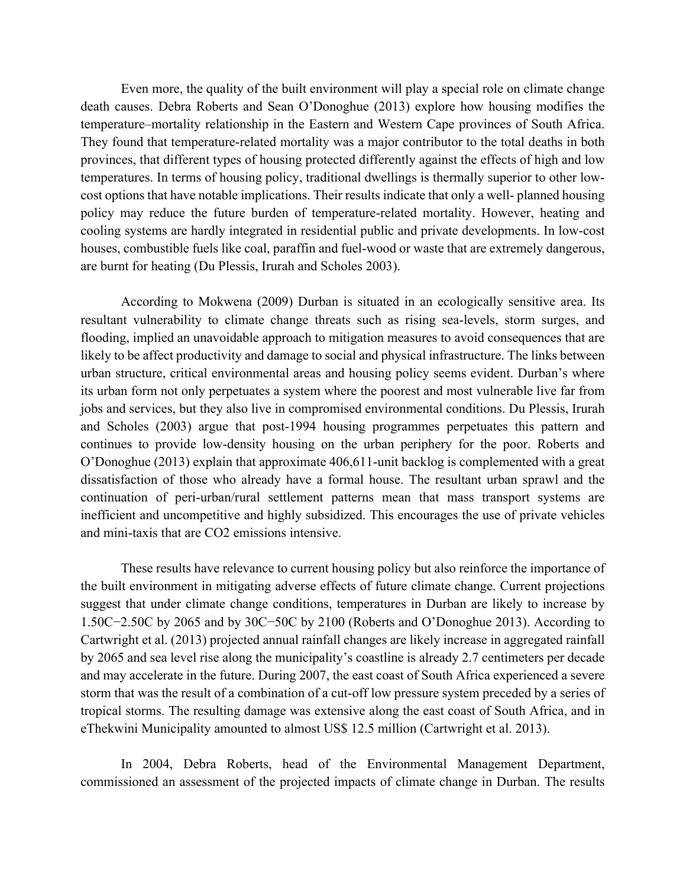Even more, the quality of the built environment will play a special role on climate change death causes. Debra Roberts and Sean O'Donoghue (2013) explore how housing modifies the temperature–mortality relationship in the Eastern and Western Cape provinces of South Africa. They found that temperature-related mortality was a major contributor to the total deaths in both provinces, that different types of housing protected differently against the effects of high and low temperatures. In terms of housing policy, traditional dwellings is thermally superior to other lowcost options that have notable implications. Their results indicate that only a well- planned housing policy may reduce the future burden of temperature-related mortality. However, heating and cooling systems are hardly integrated in residential public and private developments. In low-cost houses, combustible fuels like coal, paraffin and fuel-wood or waste that are extremely dangerous, are burnt for heating (Du Plessis, Irurah and Scholes 2003).

According to Mokwena (2009) Durban is situated in an ecologically sensitive area. Its resultant vulnerability to climate change threats such as rising sea-levels, storm surges, and flooding, implied an unavoidable approach to mitigation measures to avoid consequences that are likely to be affect productivity and damage to social and physical infrastructure. The links between urban structure, critical environmental areas and housing policy seems evident. Durban's where its urban form not only perpetuates a system where the poorest and most vulnerable live far from jobs and services, but they also live in compromised environmental conditions. Du Plessis, Irurah and Scholes (2003) argue that post-1994 housing programmes perpetuates this pattern and continues to provide low-density housing on the urban periphery for the poor. Roberts and O'Donoghue (2013) explain that approximate 406,611-unit backlog is complemented with a great dissatisfaction of those who already have a formal house. The resultant urban sprawl and the continuation of peri-urban/rural settlement patterns mean that mass transport systems are inefficient and uncompetitive and highly subsidized. This encourages the use of private vehicles and mini-taxis that are CO2 emissions intensive.

These results have relevance to current housing policy but also reinforce the importance of the built environment in mitigating adverse effects of future climate change. Current projections suggest that under climate change conditions, temperatures in Durban are likely to increase by 1.50C−2.50C by 2065 and by 30C−50C by 2100 (Roberts and O'Donoghue 2013). According to Cartwright et al. (2013) projected annual rainfall changes are likely increase in aggregated rainfall by 2065 and sea level rise along the municipality's coastline is already 2.7 centimeters per decade and may accelerate in the future. During 2007, the east coast of South Africa experienced a severe storm that was the result of a combination of a cut-off low pressure system preceded by a series of tropical storms. The resulting damage was extensive along the east coast of South Africa, and in eThekwini Municipality amounted to almost US\$ 12.5 million (Cartwright et al. 2013).

In 2004, Debra Roberts, head of the Environmental Management Department, commissioned an assessment of the projected impacts of climate change in Durban. The results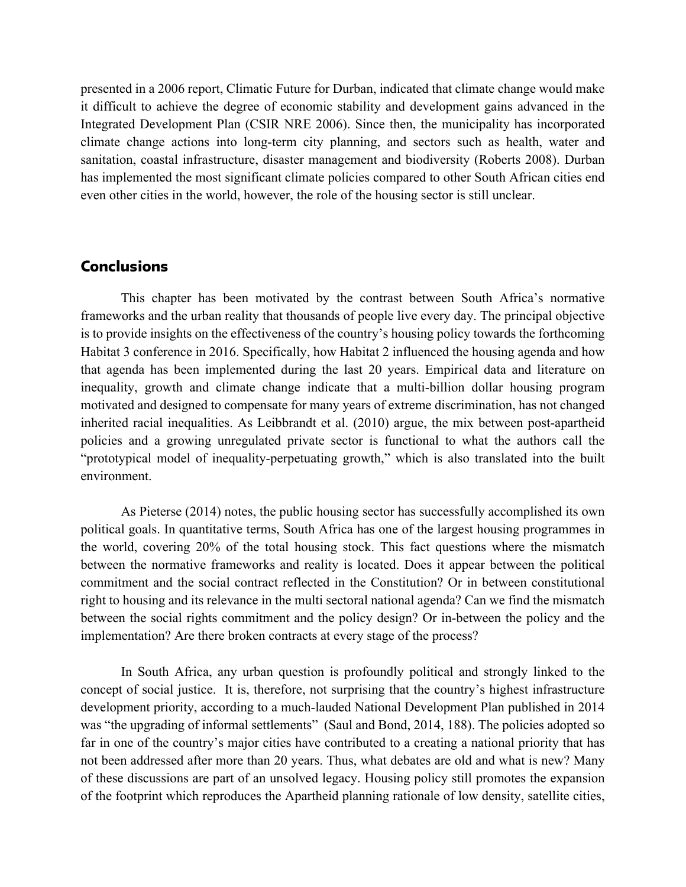presented in a 2006 report, Climatic Future for Durban, indicated that climate change would make it difficult to achieve the degree of economic stability and development gains advanced in the Integrated Development Plan (CSIR NRE 2006). Since then, the municipality has incorporated climate change actions into long-term city planning, and sectors such as health, water and sanitation, coastal infrastructure, disaster management and biodiversity (Roberts 2008). Durban has implemented the most significant climate policies compared to other South African cities end even other cities in the world, however, the role of the housing sector is still unclear.

#### **Conclusions**

This chapter has been motivated by the contrast between South Africa's normative frameworks and the urban reality that thousands of people live every day. The principal objective is to provide insights on the effectiveness of the country's housing policy towards the forthcoming Habitat 3 conference in 2016. Specifically, how Habitat 2 influenced the housing agenda and how that agenda has been implemented during the last 20 years. Empirical data and literature on inequality, growth and climate change indicate that a multi-billion dollar housing program motivated and designed to compensate for many years of extreme discrimination, has not changed inherited racial inequalities. As Leibbrandt et al. (2010) argue, the mix between post-apartheid policies and a growing unregulated private sector is functional to what the authors call the "prototypical model of inequality-perpetuating growth," which is also translated into the built environment.

As Pieterse (2014) notes, the public housing sector has successfully accomplished its own political goals. In quantitative terms, South Africa has one of the largest housing programmes in the world, covering 20% of the total housing stock. This fact questions where the mismatch between the normative frameworks and reality is located. Does it appear between the political commitment and the social contract reflected in the Constitution? Or in between constitutional right to housing and its relevance in the multi sectoral national agenda? Can we find the mismatch between the social rights commitment and the policy design? Or in-between the policy and the implementation? Are there broken contracts at every stage of the process?

In South Africa, any urban question is profoundly political and strongly linked to the concept of social justice. It is, therefore, not surprising that the country's highest infrastructure development priority, according to a much-lauded National Development Plan published in 2014 was "the upgrading of informal settlements" (Saul and Bond, 2014, 188). The policies adopted so far in one of the country's major cities have contributed to a creating a national priority that has not been addressed after more than 20 years. Thus, what debates are old and what is new? Many of these discussions are part of an unsolved legacy. Housing policy still promotes the expansion of the footprint which reproduces the Apartheid planning rationale of low density, satellite cities,